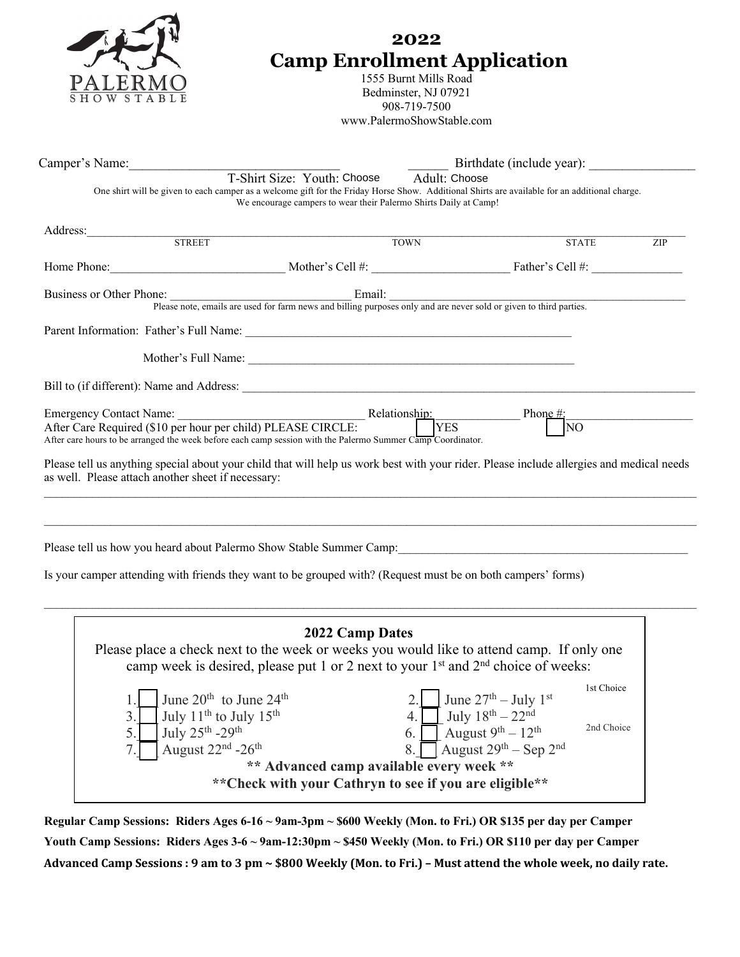|                      | 2022<br><b>Camp Enrollment Application</b><br>1555 Burnt Mills Road<br>Bedminster, NJ 07921<br>908-719-7500<br>www.PalermoShowStable.com           |                                                                                                                                                                                                                                     |               |                                                                                                                                                                                                                                             |     |  |  |  |
|----------------------|----------------------------------------------------------------------------------------------------------------------------------------------------|-------------------------------------------------------------------------------------------------------------------------------------------------------------------------------------------------------------------------------------|---------------|---------------------------------------------------------------------------------------------------------------------------------------------------------------------------------------------------------------------------------------------|-----|--|--|--|
|                      |                                                                                                                                                    | Camper's Name: T-Shirt Size: Youth: Choose                                                                                                                                                                                          | Adult: Choose | Birthdate (include year):                                                                                                                                                                                                                   |     |  |  |  |
|                      |                                                                                                                                                    | We encourage campers to wear their Palermo Shirts Daily at Camp!                                                                                                                                                                    |               | One shirt will be given to each camper as a welcome gift for the Friday Horse Show. Additional Shirts are available for an additional charge.                                                                                               |     |  |  |  |
|                      |                                                                                                                                                    | Address: STREET                                                                                                                                                                                                                     | <b>TOWN</b>   | <b>STATE</b>                                                                                                                                                                                                                                | ZIP |  |  |  |
|                      |                                                                                                                                                    |                                                                                                                                                                                                                                     |               | Home Phone: Mother's Cell #: Mother's Cell #: Eather's Cell #:                                                                                                                                                                              |     |  |  |  |
|                      |                                                                                                                                                    |                                                                                                                                                                                                                                     |               | Business or Other Phone:<br>Please note, emails are used for farm news and billing purposes only and are never sold or given to third parties.                                                                                              |     |  |  |  |
|                      |                                                                                                                                                    |                                                                                                                                                                                                                                     |               |                                                                                                                                                                                                                                             |     |  |  |  |
|                      | as well. Please attach another sheet if necessary:                                                                                                 | Emergency Contact Name:<br>After Care Required (\$10 per hour per child) PLEASE CIRCLE:<br>After care hours to be arranged the week before each camp session with the Palermo Summer Camp Coordinator.                              |               | Phone $\#$ ;<br>$\overline{NO}$<br>Please tell us anything special about your child that will help us work best with your rider. Please include allergies and medical needs                                                                 |     |  |  |  |
|                      |                                                                                                                                                    | Please tell us how you heard about Palermo Show Stable Summer Camp:<br>Is your camper attending with friends they want to be grouped with? (Request must be on both campers' forms)                                                 |               |                                                                                                                                                                                                                                             |     |  |  |  |
| 1.<br>3.<br>5.<br>7. | June $20^{th}$ to June $24^{th}$<br>July 11 <sup>th</sup> to July 15 <sup>th</sup><br>July 25th -29th<br>August 22 <sup>nd</sup> -26 <sup>th</sup> | 2022 Camp Dates<br>camp week is desired, please put 1 or 2 next to your 1 <sup>st</sup> and 2 <sup>nd</sup> choice of weeks:<br>** Advanced camp available every week **<br>** Check with your Cathryn to see if you are eligible** | 6.<br>8.      | Please place a check next to the week or weeks you would like to attend camp. If only one<br>1st Choice<br>June $27th - July 1st$<br>July $18^{th} - 22^{nd}$<br>2nd Choice<br>August $9^{th} - 12^{th}$<br>August $29^{th}$ – Sep $2^{nd}$ |     |  |  |  |

**Regular Camp Sessions: Riders Ages 6-16 ~ 9am-3pm ~ \$600 Weekly (Mon. to Fri.) OR \$135 per day per Camper Youth Camp Sessions: Riders Ages 3-6 ~ 9am-12:30pm ~ \$450 Weekly (Mon. to Fri.) OR \$110 per day per Camper** Advanced Camp Sessions : 9 am to 3 pm ~ \$800 Weekly (Mon. to Fri.) - Must attend the whole week, no daily rate.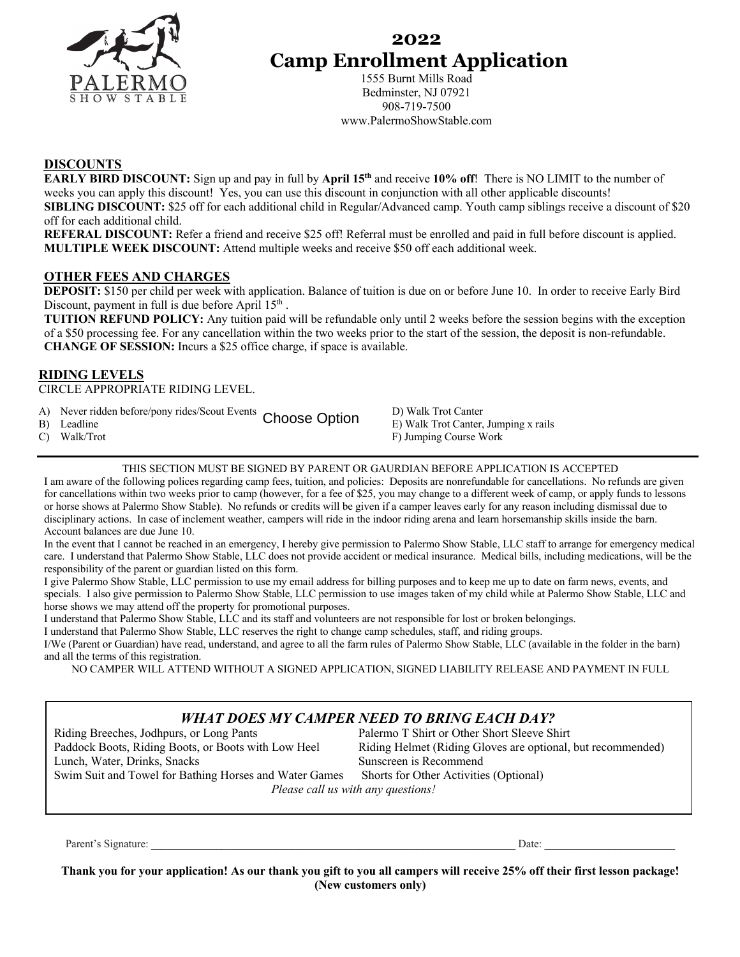

# **2022 Camp Enrollment Application**

1555 Burnt Mills Road Bedminster, NJ 07921 908-719-7500 www.PalermoShowStable.com

### **DISCOUNTS**

**EARLY BIRD DISCOUNT:** Sign up and pay in full by **April 15th** and receive **10% off**! There is NO LIMIT to the number of weeks you can apply this discount! Yes, you can use this discount in conjunction with all other applicable discounts! **SIBLING DISCOUNT:** \$25 off for each additional child in Regular/Advanced camp. Youth camp siblings receive a discount of \$20 off for each additional child.

**REFERAL DISCOUNT:** Refer a friend and receive \$25 off! Referral must be enrolled and paid in full before discount is applied. **MULTIPLE WEEK DISCOUNT:** Attend multiple weeks and receive \$50 off each additional week.

### **OTHER FEES AND CHARGES**

**DEPOSIT:** \$150 per child per week with application. Balance of tuition is due on or before June 10. In order to receive Early Bird Discount, payment in full is due before April 15<sup>th</sup>.

**TUITION REFUND POLICY:** Any tuition paid will be refundable only until 2 weeks before the session begins with the exception of a \$50 processing fee. For any cancellation within the two weeks prior to the start of the session, the deposit is non-refundable. **CHANGE OF SESSION:** Incurs a \$25 office charge, if space is available.

### **RIDING LEVELS**

CIRCLE APPROPRIATE RIDING LEVEL.

- A) Never ridden before/pony rides/Scout Events Chasses Ontion D) Walk Trot Canter
- 

B) Rever Huden before/pony Hues/Scout Events Choose Option B) Walk Trot Canter, Jumping x rails C) Walk/Trot **F**) Jumping Course Work

THIS SECTION MUST BE SIGNED BY PARENT OR GAURDIAN BEFORE APPLICATION IS ACCEPTED

I am aware of the following polices regarding camp fees, tuition, and policies: Deposits are nonrefundable for cancellations. No refunds are given for cancellations within two weeks prior to camp (however, for a fee of \$25, you may change to a different week of camp, or apply funds to lessons or horse shows at Palermo Show Stable). No refunds or credits will be given if a camper leaves early for any reason including dismissal due to disciplinary actions. In case of inclement weather, campers will ride in the indoor riding arena and learn horsemanship skills inside the barn. Account balances are due June 10.

In the event that I cannot be reached in an emergency, I hereby give permission to Palermo Show Stable, LLC staff to arrange for emergency medical care. I understand that Palermo Show Stable, LLC does not provide accident or medical insurance. Medical bills, including medications, will be the responsibility of the parent or guardian listed on this form.

I give Palermo Show Stable, LLC permission to use my email address for billing purposes and to keep me up to date on farm news, events, and specials. I also give permission to Palermo Show Stable, LLC permission to use images taken of my child while at Palermo Show Stable, LLC and horse shows we may attend off the property for promotional purposes.

I understand that Palermo Show Stable, LLC and its staff and volunteers are not responsible for lost or broken belongings.

I understand that Palermo Show Stable, LLC reserves the right to change camp schedules, staff, and riding groups.

I/We (Parent or Guardian) have read, understand, and agree to all the farm rules of Palermo Show Stable, LLC (available in the folder in the barn) and all the terms of this registration.

NO CAMPER WILL ATTEND WITHOUT A SIGNED APPLICATION, SIGNED LIABILITY RELEASE AND PAYMENT IN FULL

## *WHAT DOES MY CAMPER NEED TO BRING EACH DAY?*

Riding Breeches, Jodhpurs, or Long Pants Palermo T Shirt or Other Short Sleeve Shirt Lunch, Water, Drinks, Snacks Sunscreen is Recommend

Paddock Boots, Riding Boots, or Boots with Low Heel Riding Helmet (Riding Gloves are optional, but recommended)

Swim Suit and Towel for Bathing Horses and Water Games Shorts for Other Activities (Optional) *Please call us with any questions!*

Parent's Signature: \_\_\_\_\_\_\_\_\_\_\_\_\_\_\_\_\_\_\_\_\_\_\_\_\_\_\_\_\_\_\_\_\_\_\_\_\_\_\_\_\_\_\_\_\_\_\_\_\_\_\_\_\_\_\_\_\_\_\_\_\_\_\_\_\_\_\_ Date: \_\_\_\_\_\_\_\_\_\_\_\_\_\_\_\_\_\_\_\_\_\_\_\_

**Thank you for your application! As our thank you gift to you all campers will receive 25% off their first lesson package! (New customers only)**